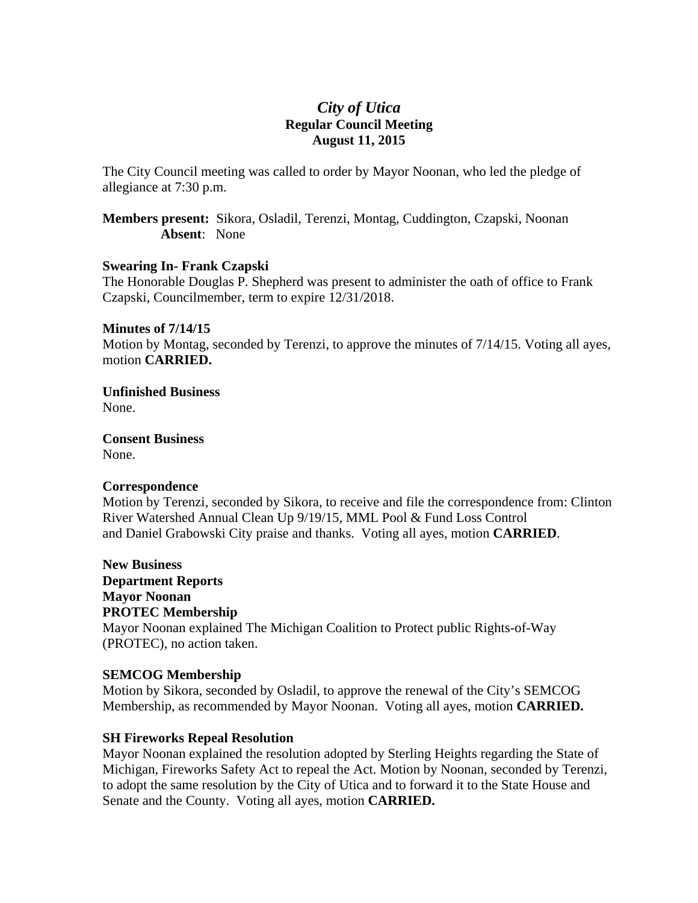# *City of Utica*  **Regular Council Meeting August 11, 2015**

The City Council meeting was called to order by Mayor Noonan, who led the pledge of allegiance at 7:30 p.m.

**Members present:** Sikora, Osladil, Terenzi, Montag, Cuddington, Czapski, Noonan **Absent**: None

#### **Swearing In- Frank Czapski**

The Honorable Douglas P. Shepherd was present to administer the oath of office to Frank Czapski, Councilmember, term to expire 12/31/2018.

#### **Minutes of 7/14/15**

Motion by Montag, seconded by Terenzi, to approve the minutes of 7/14/15. Voting all ayes, motion **CARRIED.** 

**Unfinished Business**  None.

**Consent Business**  None.

#### **Correspondence**

Motion by Terenzi, seconded by Sikora, to receive and file the correspondence from: Clinton River Watershed Annual Clean Up 9/19/15, MML Pool & Fund Loss Control and Daniel Grabowski City praise and thanks. Voting all ayes, motion **CARRIED**.

**New Business Department Reports Mayor Noonan PROTEC Membership**  Mayor Noonan explained The Michigan Coalition to Protect public Rights-of-Way (PROTEC), no action taken.

#### **SEMCOG Membership**

Motion by Sikora, seconded by Osladil, to approve the renewal of the City's SEMCOG Membership, as recommended by Mayor Noonan. Voting all ayes, motion **CARRIED.** 

#### **SH Fireworks Repeal Resolution**

Mayor Noonan explained the resolution adopted by Sterling Heights regarding the State of Michigan, Fireworks Safety Act to repeal the Act. Motion by Noonan, seconded by Terenzi, to adopt the same resolution by the City of Utica and to forward it to the State House and Senate and the County. Voting all ayes, motion **CARRIED.**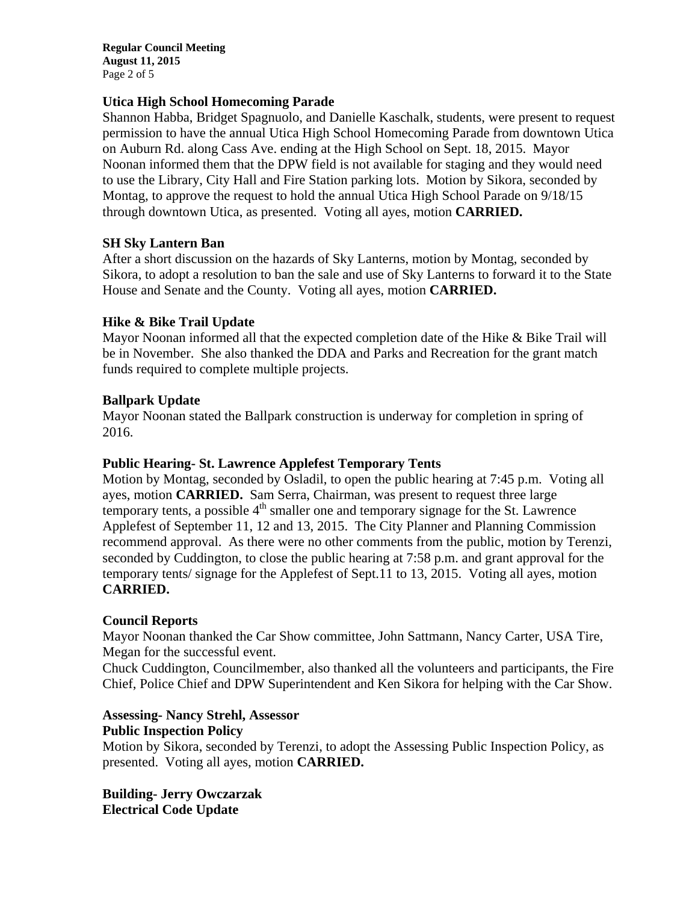**Regular Council Meeting August 11, 2015**  Page 2 of 5

## **Utica High School Homecoming Parade**

Shannon Habba, Bridget Spagnuolo, and Danielle Kaschalk, students, were present to request permission to have the annual Utica High School Homecoming Parade from downtown Utica on Auburn Rd. along Cass Ave. ending at the High School on Sept. 18, 2015. Mayor Noonan informed them that the DPW field is not available for staging and they would need to use the Library, City Hall and Fire Station parking lots. Motion by Sikora, seconded by Montag, to approve the request to hold the annual Utica High School Parade on 9/18/15 through downtown Utica, as presented. Voting all ayes, motion **CARRIED.** 

## **SH Sky Lantern Ban**

After a short discussion on the hazards of Sky Lanterns, motion by Montag, seconded by Sikora, to adopt a resolution to ban the sale and use of Sky Lanterns to forward it to the State House and Senate and the County. Voting all ayes, motion **CARRIED.** 

## **Hike & Bike Trail Update**

Mayor Noonan informed all that the expected completion date of the Hike & Bike Trail will be in November. She also thanked the DDA and Parks and Recreation for the grant match funds required to complete multiple projects.

## **Ballpark Update**

Mayor Noonan stated the Ballpark construction is underway for completion in spring of 2016.

#### **Public Hearing- St. Lawrence Applefest Temporary Tents**

Motion by Montag, seconded by Osladil, to open the public hearing at 7:45 p.m. Voting all ayes, motion **CARRIED.** Sam Serra, Chairman, was present to request three large temporary tents, a possible  $4<sup>th</sup>$  smaller one and temporary signage for the St. Lawrence Applefest of September 11, 12 and 13, 2015. The City Planner and Planning Commission recommend approval. As there were no other comments from the public, motion by Terenzi, seconded by Cuddington, to close the public hearing at 7:58 p.m. and grant approval for the temporary tents/ signage for the Applefest of Sept.11 to 13, 2015. Voting all ayes, motion **CARRIED.** 

#### **Council Reports**

Mayor Noonan thanked the Car Show committee, John Sattmann, Nancy Carter, USA Tire, Megan for the successful event.

Chuck Cuddington, Councilmember, also thanked all the volunteers and participants, the Fire Chief, Police Chief and DPW Superintendent and Ken Sikora for helping with the Car Show.

#### **Assessing- Nancy Strehl, Assessor Public Inspection Policy**

Motion by Sikora, seconded by Terenzi, to adopt the Assessing Public Inspection Policy, as presented. Voting all ayes, motion **CARRIED.** 

**Building- Jerry Owczarzak Electrical Code Update**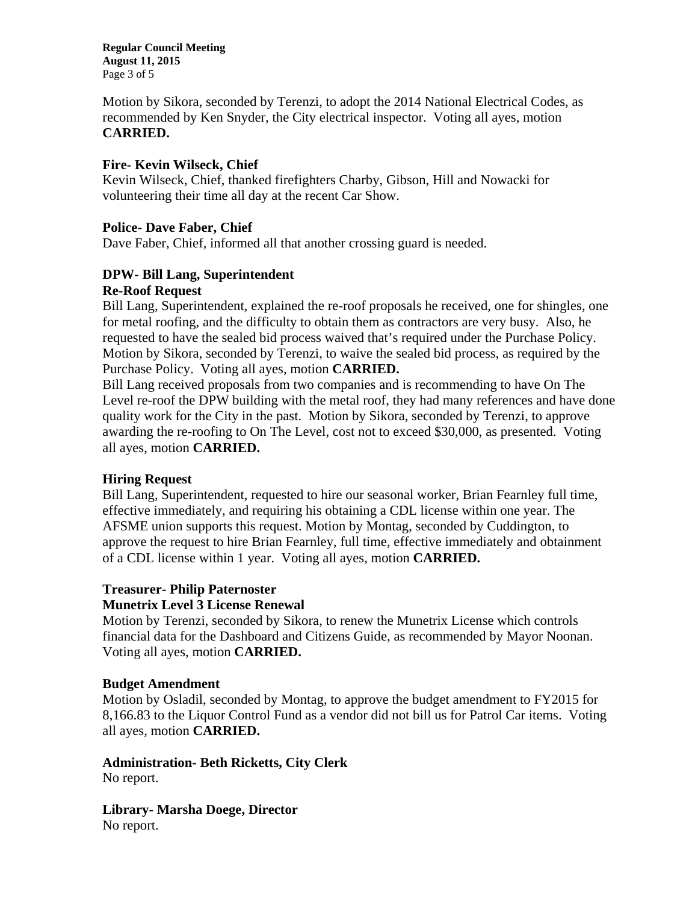**Regular Council Meeting August 11, 2015**  Page 3 of 5

Motion by Sikora, seconded by Terenzi, to adopt the 2014 National Electrical Codes, as recommended by Ken Snyder, the City electrical inspector. Voting all ayes, motion **CARRIED.** 

## **Fire- Kevin Wilseck, Chief**

Kevin Wilseck, Chief, thanked firefighters Charby, Gibson, Hill and Nowacki for volunteering their time all day at the recent Car Show.

#### **Police- Dave Faber, Chief**

Dave Faber, Chief, informed all that another crossing guard is needed.

## **DPW- Bill Lang, Superintendent Re-Roof Request**

Bill Lang, Superintendent, explained the re-roof proposals he received, one for shingles, one for metal roofing, and the difficulty to obtain them as contractors are very busy. Also, he requested to have the sealed bid process waived that's required under the Purchase Policy. Motion by Sikora, seconded by Terenzi, to waive the sealed bid process, as required by the Purchase Policy. Voting all ayes, motion **CARRIED.** 

Bill Lang received proposals from two companies and is recommending to have On The Level re-roof the DPW building with the metal roof, they had many references and have done quality work for the City in the past. Motion by Sikora, seconded by Terenzi, to approve awarding the re-roofing to On The Level, cost not to exceed \$30,000, as presented. Voting all ayes, motion **CARRIED.** 

# **Hiring Request**

Bill Lang, Superintendent, requested to hire our seasonal worker, Brian Fearnley full time, effective immediately, and requiring his obtaining a CDL license within one year. The AFSME union supports this request. Motion by Montag, seconded by Cuddington, to approve the request to hire Brian Fearnley, full time, effective immediately and obtainment of a CDL license within 1 year. Voting all ayes, motion **CARRIED.** 

# **Treasurer- Philip Paternoster**

#### **Munetrix Level 3 License Renewal**

Motion by Terenzi, seconded by Sikora, to renew the Munetrix License which controls financial data for the Dashboard and Citizens Guide, as recommended by Mayor Noonan. Voting all ayes, motion **CARRIED.** 

#### **Budget Amendment**

Motion by Osladil, seconded by Montag, to approve the budget amendment to FY2015 for 8,166.83 to the Liquor Control Fund as a vendor did not bill us for Patrol Car items. Voting all ayes, motion **CARRIED.** 

**Administration- Beth Ricketts, City Clerk**  No report.

**Library- Marsha Doege, Director**  No report.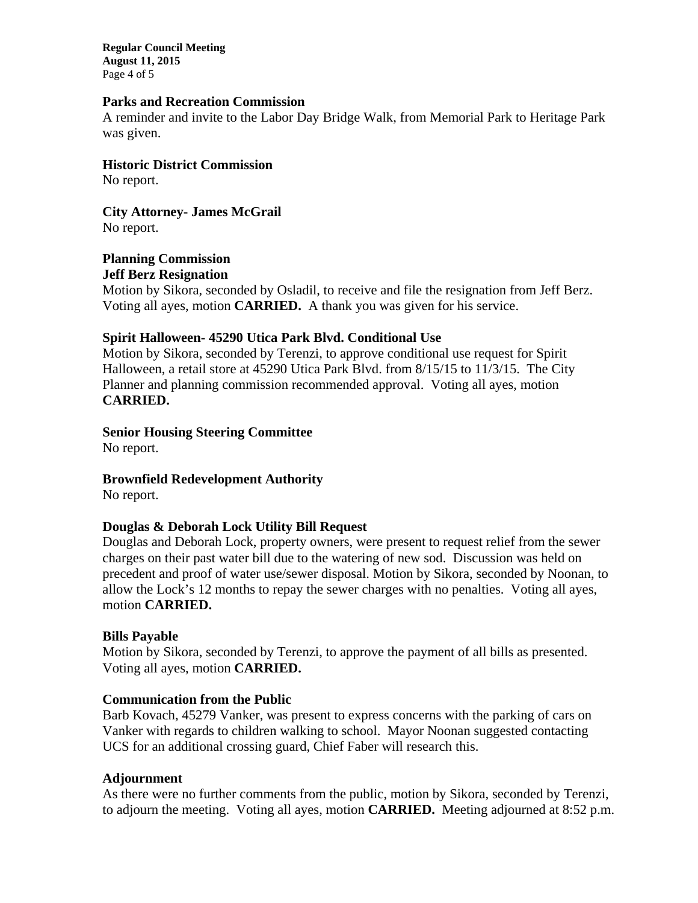**Regular Council Meeting August 11, 2015**  Page 4 of 5

#### **Parks and Recreation Commission**

A reminder and invite to the Labor Day Bridge Walk, from Memorial Park to Heritage Park was given.

**Historic District Commission** 

No report.

**City Attorney- James McGrail**  No report.

**Planning Commission Jeff Berz Resignation** 

Motion by Sikora, seconded by Osladil, to receive and file the resignation from Jeff Berz. Voting all ayes, motion **CARRIED.** A thank you was given for his service.

## **Spirit Halloween- 45290 Utica Park Blvd. Conditional Use**

Motion by Sikora, seconded by Terenzi, to approve conditional use request for Spirit Halloween, a retail store at 45290 Utica Park Blvd. from 8/15/15 to 11/3/15. The City Planner and planning commission recommended approval. Voting all ayes, motion **CARRIED.** 

# **Senior Housing Steering Committee**

No report.

**Brownfield Redevelopment Authority** 

No report.

# **Douglas & Deborah Lock Utility Bill Request**

Douglas and Deborah Lock, property owners, were present to request relief from the sewer charges on their past water bill due to the watering of new sod. Discussion was held on precedent and proof of water use/sewer disposal. Motion by Sikora, seconded by Noonan, to allow the Lock's 12 months to repay the sewer charges with no penalties. Voting all ayes, motion **CARRIED.** 

# **Bills Payable**

Motion by Sikora, seconded by Terenzi, to approve the payment of all bills as presented. Voting all ayes, motion **CARRIED.** 

# **Communication from the Public**

Barb Kovach, 45279 Vanker, was present to express concerns with the parking of cars on Vanker with regards to children walking to school. Mayor Noonan suggested contacting UCS for an additional crossing guard, Chief Faber will research this.

#### **Adjournment**

As there were no further comments from the public, motion by Sikora, seconded by Terenzi, to adjourn the meeting. Voting all ayes, motion **CARRIED.** Meeting adjourned at 8:52 p.m.